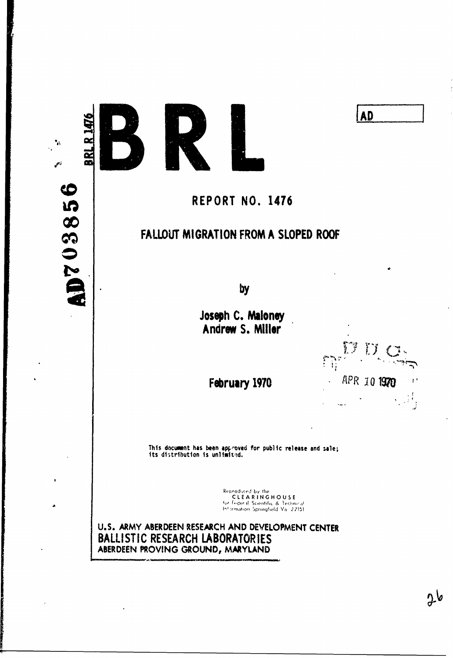10703856

ā



# **AD**

# REPORT NO. 1476

# FALLOUT MIGRATION FROM A SLOPED ROOF

by

Joseph C. Maloney Andrew S. Miller



 $2\delta$ 

February 1970

This document has been approved for public release and sale;<br>its distribution is unlimited.

Reproduced by the<br>CLEARINGHOUSE<br>for Fideral Scientific & Technical<br>Information Springfield Va. 22151

U.S. ARMY ABERDEEN RESEARCH AND DEVELOPMENT CENTER BALLISTIC RESEARCH LABORATORIES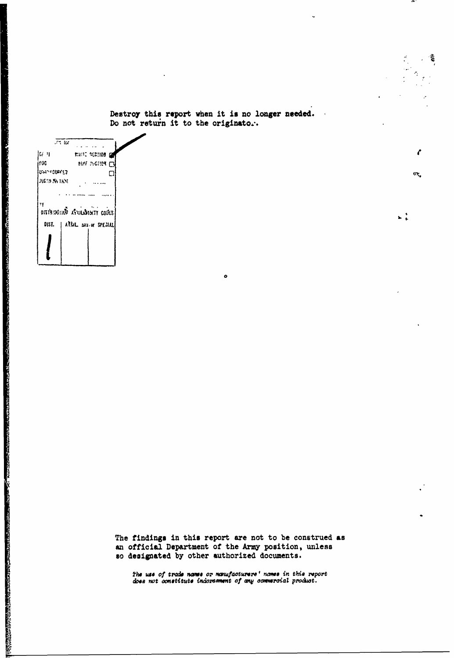Destroy this report when it is no longer needed. Do not return it to the originato...

 $\ddot{\mathbf{c}}$ 

耄

 $\mathcal{C}_{\mathcal{C}}$ 

йť,

 $\frac{1}{2}$ 

 $\frac{1}{\sqrt{2\pi}\log\left(\frac{1}{\sqrt{2\pi}\log\left(\frac{1}{\sqrt{2\pi}\log\left(\frac{1}{\sqrt{2\pi}\log\left(\frac{1}{\sqrt{2\pi}\log\left(\frac{1}{\sqrt{2\pi}\log\left(\frac{1}{\sqrt{2\pi}\log\left(\frac{1}{\sqrt{2\pi}\log\left(\frac{1}{\sqrt{2\pi}\log\left(\frac{1}{\sqrt{2\pi}\log\left(\frac{1}{\sqrt{2\pi}\log\left(\frac{1}{\sqrt{2\pi}\log\left(\frac{1}{\sqrt{2\pi}\log\left(\frac{1}{\sqrt{2\pi}\log\left(\frac{1}{\sqrt{2\$ mant retries of  $|G|$   $|1|$ **BUT INSTITUTE** iooc. luwa watunez  $\Box$ **JUSTA PA TKNL Allena**  $\ddot{z}$  , and the same same states of the same states of the same states of the same states of the same states of the same states of the same states of the same states of the same states of the same states of the same st ۲ý **DETAIROINT** SULSINT CORS DIST. | APRIL DAY OF SPEZIAL

The findings in this report are not to be construed as an official Department of the Army position, unless so designated by other authorized documents.

The use of trade names or manufacturers' names in this report does not constitute indoremment of any commercial product.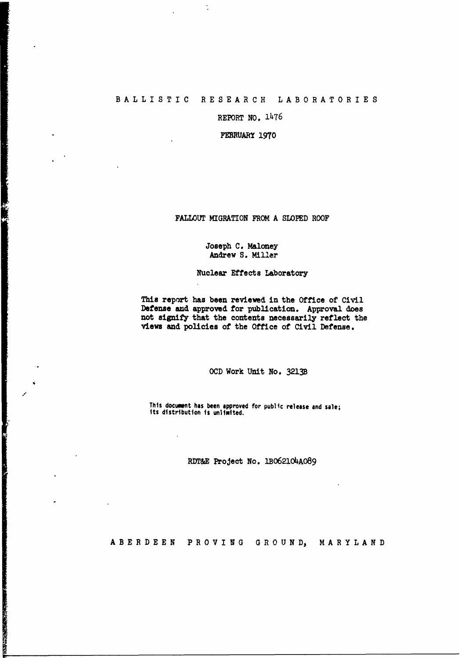# BALLISTIC **RESEARCH LABORATORIES**

 $\ddot{\cdot}$ 

「このことで、「インター」ということで、このことが、「このことでも、「このことで、「このこと」ということで、「人」の「この」ということで、「このこと」ということで、「このこと」ということ、「このこと」ということ、「このこと」ということで、「このこと」ということで、「このこと」ということで、「このこと」ということで、「このこと」ということで、「このこと」ということで、「

**THE REAL PROPERTY AND RELEASED FOR THE REAL PROPERTY AND RELEASED FOR THE REAL PROPERTY.** 

REPORT **NO.** 1476

FEBRUARY **1970**

**FALLOUT** MIGRATION FROM, **A SLOPED** ROOF

## Joseph **C.** Maloney Andrew **S.** Miller

### Nuclear Effects laboratory

This report has been reviewed in the Office of Civil Defense **and** approved for publication. Approval does not signify that the contents necessarily reflect the views and policies of the Office of Civil Defense.

**OCD** Work Unit No. 3213B

**This document has been approved for public release and sale;**<br>its distribution is unlimited.

**RD&E** Project No. 1BO621O4AO89

**ABERDEEN PROVING GROUND,** MARYLAND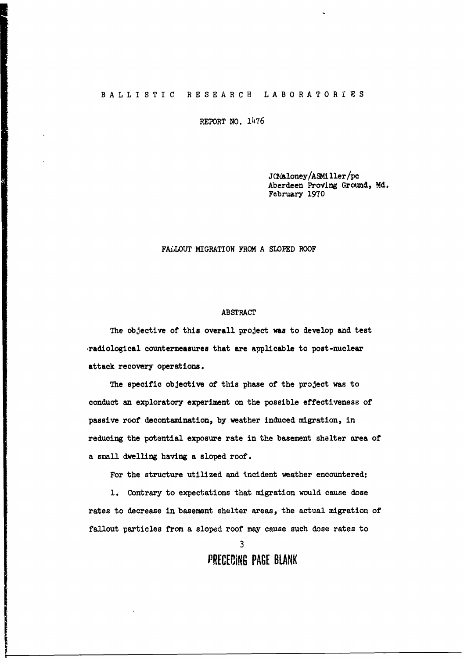#### BALLISTIC **RESEARCH LABORATORIES**

**PEPORT NO. 1476** 

JCMaloney/ASMiller/pc Aberdeen Proving Ground, **Md.** February **1970**

# FAiLOUT MIGRATION FROM **A SLOPED** ROOF

#### ABSTRACT

The objective of this overall project was to develop and test -radiological countermeasures that are applicable to post-nuclear attack recovery operations.

The specific objective of this phase of the project was to conduct an exploratory experiment on the possible effectiveness of passive roof decontamination, by weather induced migration, in reducing the potential exposure rate in the basement shelter area of a small dwelling having a sloped roof.

For the structure utilized and incident weather encountered:

**1.** Contrary to expectations that migration would cause dose rates to decrease in basement shelter areas, the actual migration of fallout particles from a sloped roof may cause such dose rates to

**3**

**PRECEDING PAGE BLANK**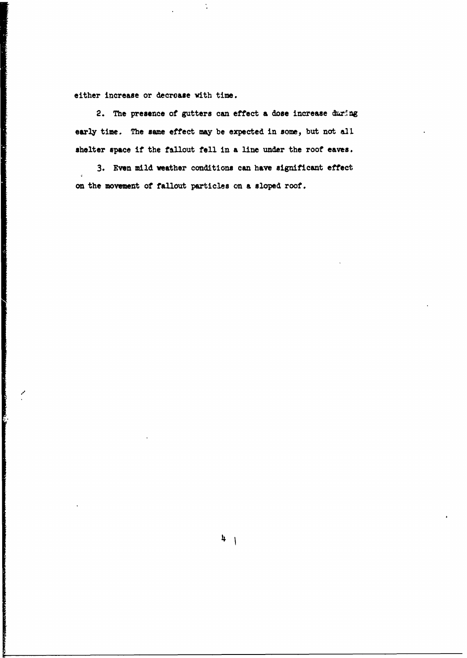either increase or decrease with time.

2. The presence of gutters can effect a dose increase during early time. The same effect may be expected in some, but not all shelter space if the fallout fell in a line under the roof eaves.

 $\ddot{\phantom{a}}$ 

**3.** Even mild weather conditions can have significant effect on the movement of fallout particles on a sloped roof.

 $4 \mid$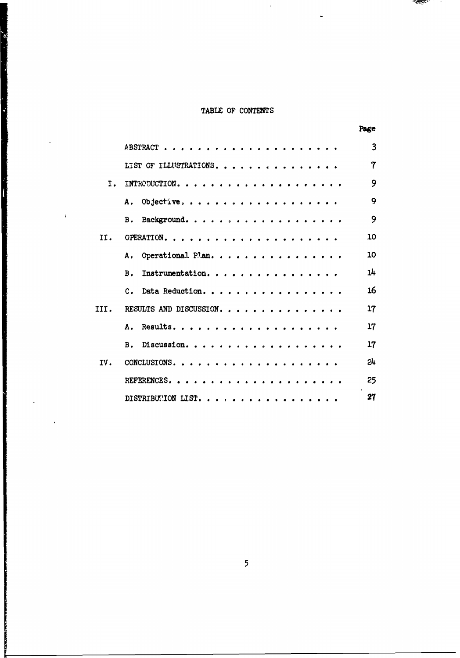# TABLE OF CONTENTS

ĺ

ł

74

|      |                                                                                                                 | Page |
|------|-----------------------------------------------------------------------------------------------------------------|------|
|      | ABSTRACT.<br>.                                                                                                  | 3    |
|      | LIST OF ILLUSTRATIONS.                                                                                          | 7    |
| Ι.   | INTRODUCTION. .                                                                                                 | 9    |
|      | Objective<br>Α.                                                                                                 | 9    |
|      | Background.<br>Β.<br>$\sim$ $\sim$ $\sim$<br>$\bullet$                                                          | 9    |
| II.  | OPERATION.<br>$\sim$ $\sim$<br>.<br><b><i>Charles Avenue</i></b>                                                | 10   |
|      | Operational Plan.<br>Α.                                                                                         | 10   |
|      | Instrumentation.<br>B <sub>1</sub>                                                                              | 14   |
|      | Data Reduction<br>$\mathbf{c}$ .<br>$\sim$<br><b><i>Charles Allen</i></b><br>$\sim$ $\sim$ $\sim$               | 16   |
| III. | RESULTS AND DISCUSSION.                                                                                         | 17   |
|      | Results<br>Α.<br>$\mathbf{a}$ $\mathbf{a}$ $\mathbf{a}$<br>$\bullet$ $\bullet$ $\bullet$ $\bullet$              | 17   |
|      | Discussion.<br>в.<br>$\bullet$ $\bullet$ $\bullet$<br>$\mathbf{a}$ , $\mathbf{a}$ , $\mathbf{a}$ , $\mathbf{a}$ | 17   |
| IV.  | CONCLUSIONS                                                                                                     | 24   |
|      | REFERENCES<br>$\sim$ $\sim$ $\sim$ $\sim$                                                                       | 25   |
|      | DISTRIBUTION LIST.<br><b>Call A</b>                                                                             | 27   |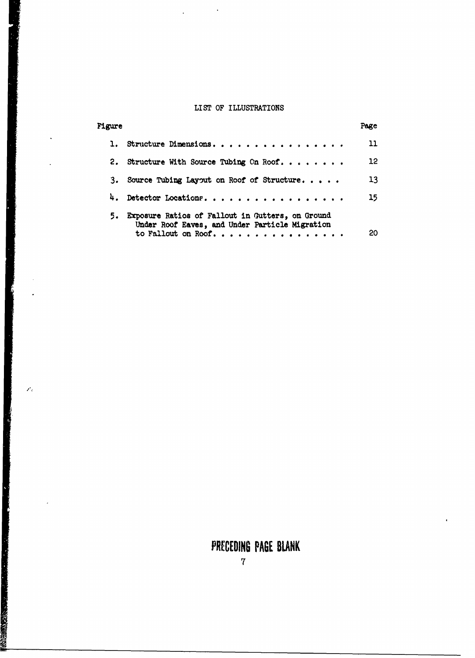# LIST OF ILLUSTRATIONS

 $\sim 10^{11}$  km

 $\ddot{\phantom{a}}$ 

 $\mathcal{P}_d$ 

 $\sigma$ .

| <b>Figure</b> |                                                                                                                          | Page            |
|---------------|--------------------------------------------------------------------------------------------------------------------------|-----------------|
|               |                                                                                                                          | 11              |
|               | 2. Structure With Source Tubing Cn Roof.                                                                                 | 12 <sup>°</sup> |
| з.            | Source Tubing Layout on Roof of Structure                                                                                | 13              |
| 4.            | Detector Locations.                                                                                                      | 15 <sub>2</sub> |
| 5.            | Exposure Ratios of Fallout in Gutters, on Ground<br>Under Roof Eaves, and Under Particle Migration<br>to Fallout on Roof | 20              |

# PRECEDING **PAGE BLANK**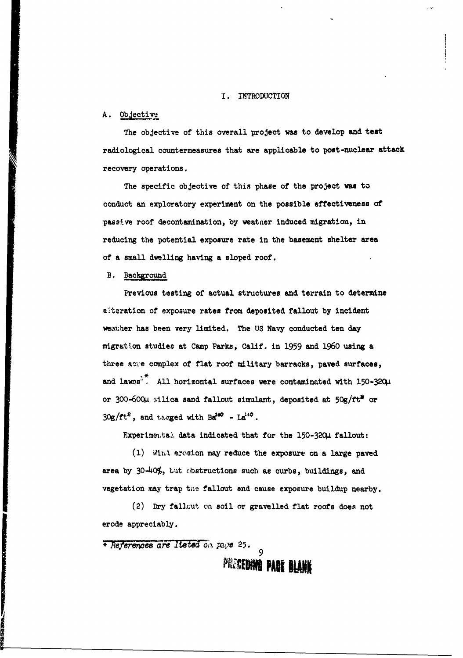#### I. INTRODUCTION

# A. Objective

The objective of this overall project was to develop and test radiological countermeasures that are applicable to post-nuclear attack recovery operations.

The specific objective of this phase of the project was to conduct an exploratory experiment on the possible effectiveness of passive roof decontamination, by weatner induced migration, in reducing the potential exposure rate in the basement shelter area of a small dwelling having a sloped roof.

B. Background

Previous testing of actual structures and terrain to determine alteration of exposure rates from deposited fallout by incident weather has been very limited. The **US** Navy conducted ten **day** migration studies at Camp Parks, Calif. in 1959 and 1960 using a three some complex of flat roof military barracks, paved surfaces, and lawns<sup>3</sup>. All horizontal surfaces were contaminated with 150-320µ or 300-600µ silica sand fallout simulant, deposited at 50g/ft<sup>2</sup> or  $30g/ft^2$ , and tagged with  $Bd^{40} - La^{40}$ .

Experimental data indicated that for the 150-320µ fallout:

**(1)** Wizi erosion may reduce the exposure on **a** large paved area by 30-40%, but sbstructions such as curbs, buildings, and vegetation may trap the fallout and cause exposure buildup nearby.

(2) Dry fallcut on soil or gravelled flat roofs does not erode appreciably.

\* *e ferenwoe* a **-- l** e e o , p ,. *25 . <sup>9</sup>*

**PRECEDING PARE BLANK**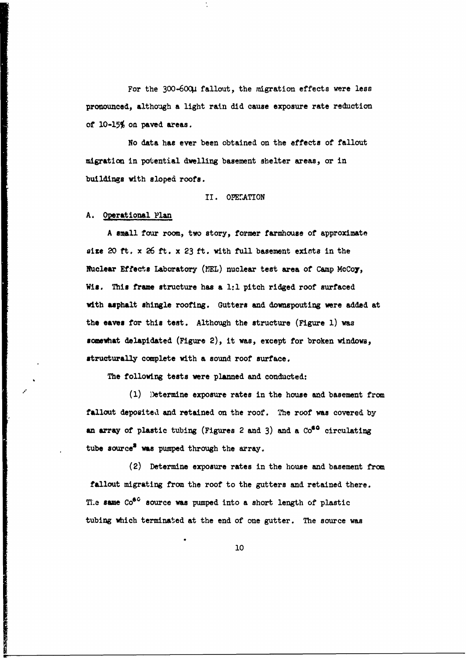For the 300-600µ fallout, the migration effects were less **pronounced,** although a light rain did cause exposure rate reduction **of 10-15%** on paved areas.

No data has ever been obtained on the effects of fallout migration in potential dwelling basement shelter areas, or in buildings with sloped roofs.

#### II. OPETATION

# A. Operational Plan

A small four room, two story, former farmhouse of approximate aize 20 ft. x 26 ft. x **23** ft. with full basement exints in the Nuclear Effects Laboratory (INEL) nuclear test area of Camp McCoy, Wis. This frame structure has a **1:1** pitch ridged roof surfaced with asphalt shingle roofing. Gutters and downspouting were added at the eaves for this test. Although the structure (Figure **1)** was somevhat delapidated (Figure 2), it was, except for broken windows, structurally complete with a sound roof surface.

The following tests were planned and conducted:

**(1)** Determine exposure rates in the house and basement from fallout deposited and retained on the roof. The roof was covered by an array of plastic tubing (Figures 2 and 3) and a Co<sup>60</sup> circulating tube source<sup>3</sup> was pumped through the array.

(2) Determine exposure rates in the house and basement from fallout migrating from the roof to the gutters and retained there. The same Co<sup>60</sup> source was pumped into a short length of plastic tubing which terminated at the end of one gutter. The source was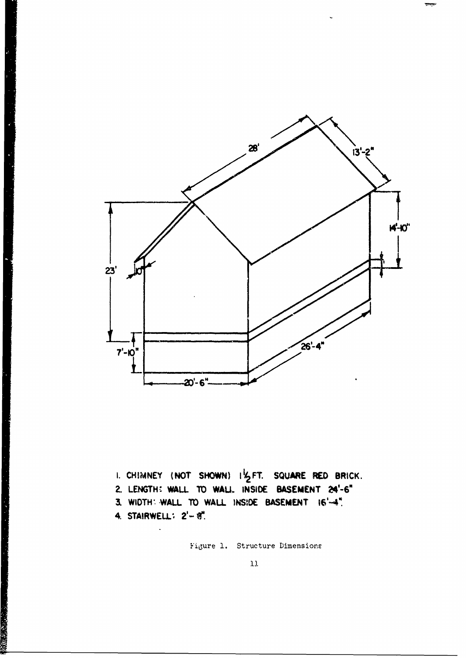

I. CHIMNEY (NOT SHOWN) I'S FT. SQUARE RED BRICK. 2. LENGTH: WALL TO WALL. INSIDE BASEMENT 24'-6" 3. WIDTH: WALL TO WALL INSIDE BASEMENT 16'-4". 4. STAIRWELL: 2'- 8".

 $\ddot{\phantom{a}}$ 

Figure 1. Structure Dimensions

 $11\,$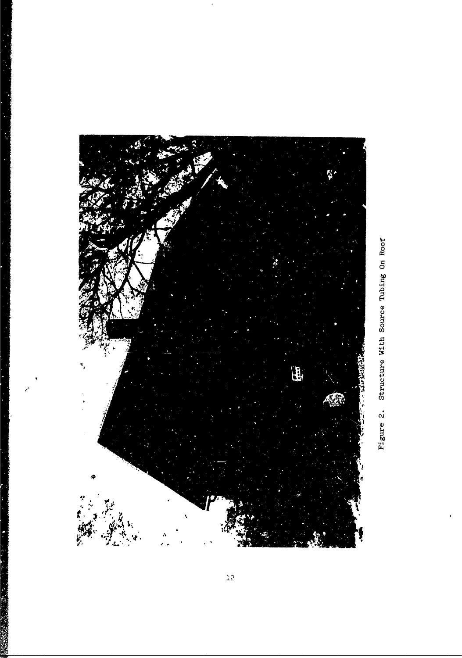

 $\overline{12}$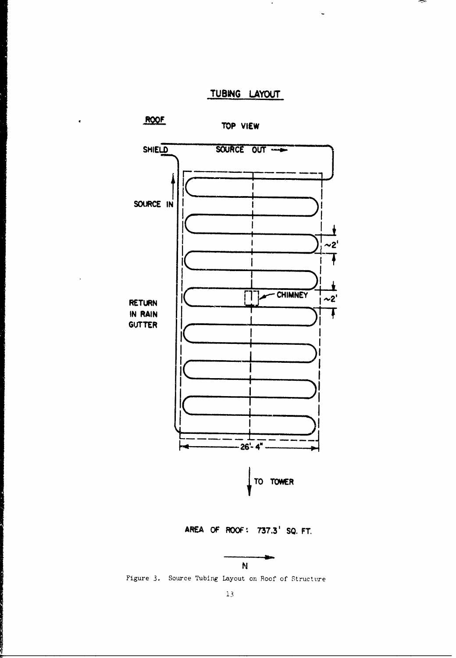TUBING LAYOUT

 $\hat{\textbf{c}}$ 



Figure 3. Source Tubing Layout on Roof of Structure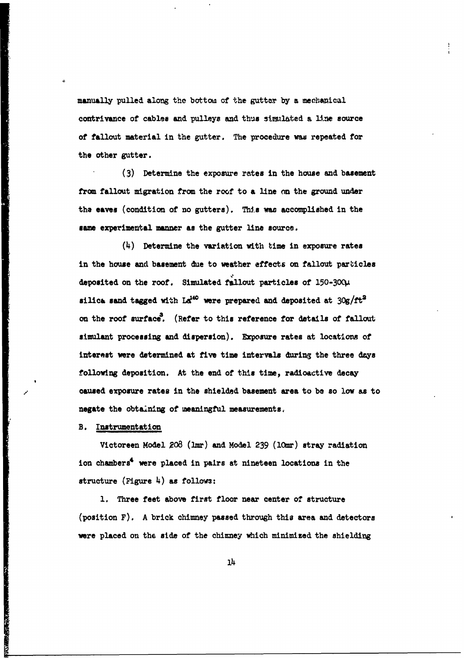manually pulled along the bottou of the gutter **by** a mecbanical contrivance of cables and pulleys **and** thus similated **a** line source of fallout material in the gutter. The procedure was repeated for the other gutter.

**(3)** Determine the exposure rates in the house and basement from fallout migration **from** the roof to a line on the ground under the eaves (condition of no gutters). This **was** accomplished in the same experimental manner as the gutter line source.

(4) Determine the variation with time in exposure rates in the house and basement due to weather effects on fallout particles deposited on the roof. Simulated fallout particles **of** 150-3001 silica sand tagged with La<sup>140</sup> were prepared and deposited at  $30g/ft^2$ on the roof surface. (Refer to this reference for details of fallout simulant processing and dispersion). Exposure rates at locations of interest were determined at five time intervals during the three days following deposition. At the end of this time, radioactive decay caused exposure rates in the shielded basement area to be so low as to negate the obtaining of ueaningful measurements,

B. Instrumentation

Victoreen Model **208** (bmr) and Model **239** (l0mr) stray radiation ion chambers<sup>4</sup> were placed in pairs at nineteen locations in the structure  $(F1)$  as follows:

**1.** Three feet above first floor near center **of** structure  $(position F)$ . A brick chimney passed through this area and detectors were placed on the side of the chimney which minimized the shielding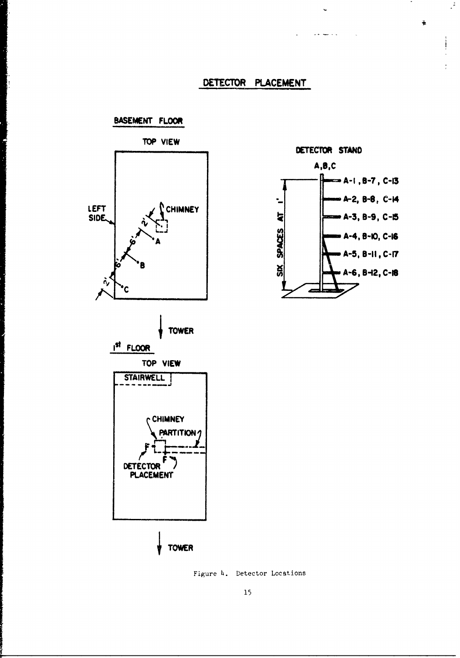# **DETECTOR PLACEMENT**



ļ.



Figure 4. Detector Locations



DETECTOR STAND

الرابا السباريات

 $\mathbb{R}^2$ 

ě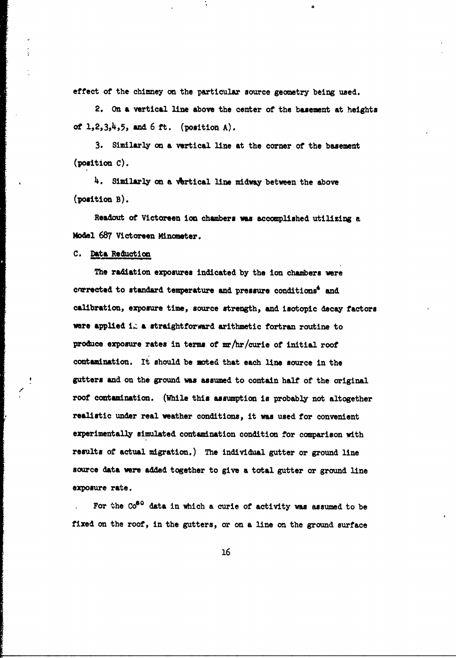effect of the chimney on the particular source geometry being used.

2. On **a** vertical line above the center of the basement at heights of  $1, 2, 3, 4, 5$ , and  $6$  ft. (position A).

3. Similarly on a vertical line at the corner of the basement (position **C).**

4. Similarly on a vertical line midway between the above (position B).

Readout of Victoreen ion chambers was accomplished utilizing a Model 687 Victoreen Minometer.

**C.** Data Reduction

*/*

The radiation exposures indicated **by** the ion chambers vere corrected to standard temperature and pressure conditions<sup>4</sup> and calibration, exposure time, source strength, **and** isotopic decay factors were applied i. a straightforward arithmetic fortran routine to produce exposure rates in terms of mr/hr/curie of initial roof contamination. It should be moted that each line source in the gutters and on the ground **was** assumed to contain half of the original roof contamination. (While this assumption is probably not altogether realistic under real weather conditions, it was used for convenient experimentally simulated contamination condition for comparison with results of actual migration.) The individual gutter or ground line source data were **added** together to give a total gutter or ground line exposure rate.

For the Co<sup>60</sup> data in which a curie of activity was assumed to be fixed on the roof, in the gutters, or on **a** line on the ground surface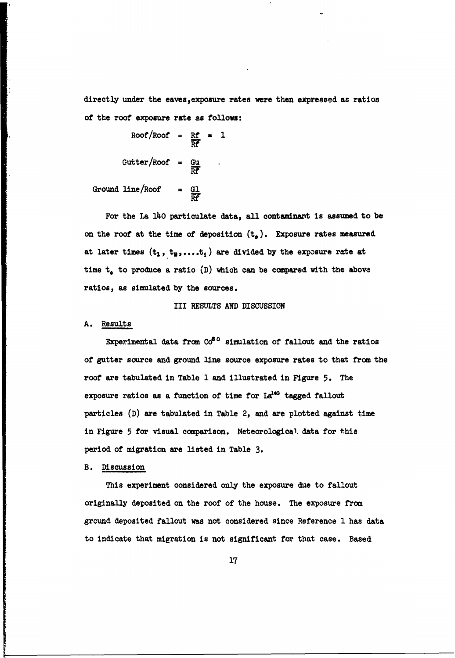directly under the eaves, exposure rates were then expressed as ratios of the roof exposure rate as follows:

 $Roof/Roof = \frac{Rf}{Rf} = 1$ Gutter/Roof =  $\frac{Gu}{Rf}$  . Ground line/Roof =  $\frac{G1}{DP}$ 

For the La **14O** particulate data, **all** contaminant is assumed to be on the roof at the time of deposition  $(t_o)$ . Exposure rates measured at later times  $(t_1, t_2, \ldots, t_i)$  are divided by the exposure rate at time  $t_a$  to produce a ratio  $(D)$  which can be compared with the above ratios, as simulated by the sources.

### III **RESULTS AND** DISCUSSION

#### **A.** Results

Experimental data from  $\mathrm{Co}^{\mathbf{6} \, \text{o}}$  simulation of fallout and the ratios of gutter source and ground line source exposure rates to that from the roof are tabulated in Table **1** and illustrated in Figure **5.** The exposure ratios as a function of time for  $La^{140}$  tagged fallout particles **(D)** are tabulated in Table 2, and are plotted against time in Figure **5** for visual comparison. Meteorological. data for this period of migration are listed in Table **3.**

### B. Discussion

This experiment considered only the exposure due to fallout originally deposited on the roof of the house. The exposure from ground deposited fallout **was** not considered since Reference **1** has data to indicate that migration is not significant for that case. Based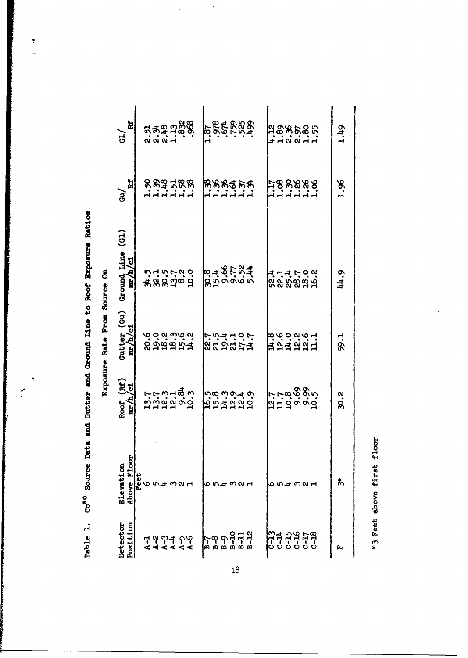| <br> <br> <br>         |
|------------------------|
|                        |
|                        |
|                        |
|                        |
|                        |
| $+1$<br>)<br>)<br>)    |
| じし dast                |
| $\frac{1}{2}$<br>hata  |
| <b>CONTROL</b><br>りりくろ |
|                        |
| .<br>3<br>らりょう         |
|                        |
|                        |

 $\overline{\mathbf{r}}$ J.

> දි ł t ļ

|                        | 뇌<br>$\overrightarrow{G}$                                      |                                                    | <b>855588</b><br>1.87                                                  | ង<br>មិន្តី<br>ដូច្នេះ មិន                        | 1.49     |
|------------------------|----------------------------------------------------------------|----------------------------------------------------|------------------------------------------------------------------------|---------------------------------------------------|----------|
|                        | X<br>á                                                         | <b>But Euge</b><br>dddddd                          | <b>RRREFRA</b><br>n'n'n'n'n                                            | ដ្ថន្ទន្ទន្ទដ្<br>dddddd                          | 1.96     |
|                        | Ground Line $(61)$<br>$\frac{\text{mr}/\text{h}/\text{c1}}{2}$ | きょうじょう<br>おとめに。こ                                   | 85000000<br>8500000                                                    | ヸ゙゙゙゙゙゙ヸヸ゙ヸヮぺ<br>ゕ゚ゕ゚ゕ゚゚゚ゕ゚゚゚ゕヷ                   | 44.9     |
| myhomia uma ania amiro | Gutter (Gu)<br>$\frac{\text{m/h}/\text{c1}}{1}$                | るので…<br>あいませい                                      | <b>こうせいこう</b><br>8.13.124                                              | ほんいえん ゴロー はません                                    | 59.1     |
|                        | Roof $(Rf)$<br>$\frac{mr}{h}$ /ci                              | 7791890                                            |                                                                        | a Ha o o d<br> -<br> -<br> -                      | ನ್.<br>ನ |
|                        | Above Floor<br>Elevation                                       | Feet<br>ی م<br>וח ר                                | ო ი<br>Ю<br>いご                                                         | ี คง н<br>n.                                      | 杰        |
|                        | Detector<br><u>Position</u>                                    | လူ<br>ᆟ<br>က္<br>P<br>5<br>₫,<br>≪<br>።<br>×.<br>ď | $01 - 8$<br>ں<br>م<br>$B-11$<br>ግ<br>-ရ<br>m<br>m<br>ω<br>$\mathbf{a}$ | 8450<br>1570<br>1570<br>C-13<br>$7 - 7$<br>$C-15$ | ſ۶.,     |

 $\ddot{\phantom{0}}$ 

 $\ddot{\phantom{0}}$ 

\*3 Feet above first floor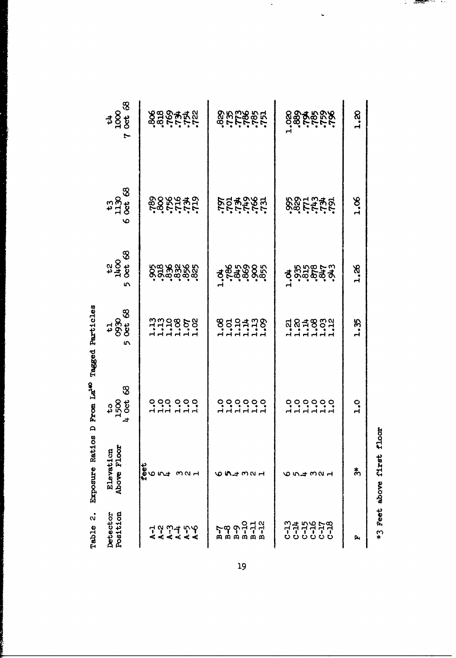| $\begin{array}{c}\n 1 \\ \text{1000} \\ \text{000} \\ \text{000}\n \end{array}$<br>٣ | secretes                              | ning<br>Salipan                     | esteres                | 1.20          |
|--------------------------------------------------------------------------------------|---------------------------------------|-------------------------------------|------------------------|---------------|
| $130$<br>0ct<br>0ct<br>৩                                                             | <b>62515655</b><br>2825555            | <b>ROPERSIS</b>                     | SSEZZE                 | 30.1          |
| $1400$<br>Oct 68<br>L                                                                | ၀ ဝ ထိ ထိ ထိ ထိ<br>လို့င်းထိ ထိ ထိ ထိ | 4848985                             | <b>Society</b>         | 3.26          |
| $6930$<br>0930<br>0et 68<br>١n                                                       | nn 19858<br>111111111                 | $333473$<br>$353473$                | dadagen<br>dadagen     | 1.35          |
| $\infty$<br>$t_{500}$<br>$0$ ct                                                      |                                       | ooooo<br>HHHHH                      | ooooo<br>HHHHH         | $\frac{1}{2}$ |
| Above Floor<br>Elevation                                                             | feet<br>とう<br>നവ പ                    |                                     | 654321                 | సి            |
| Position<br>Detector                                                                 | 7 9 9 7<br>4 4 4 4<br>ન<br>ď          | <b>ၹၟၣၣၣ</b><br>ႜၐႜၐႜၐႜၐ<br>59<br>∞ | 유추유우주<br>유추구주<br>미국 무역 | Ēц            |

Table 2. Exposure Ratios D From La<sup>140</sup> Tagged Particles

19

\*3 Feet above first floor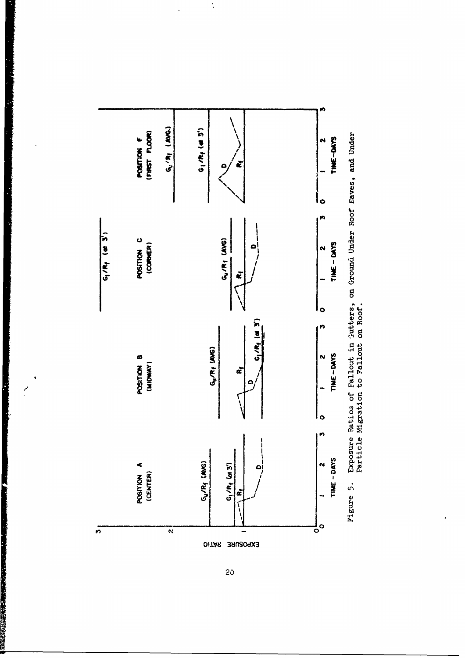

 $\cdot$ 

 $\ddot{\cdot}$ 

 $\ddot{\cdot}$ 

Exposure Ratios of Fallout in Gutters, on Ground Under Roof Eaves, and Under<br>Particle Migration to Fallout on Roof.

 $20<sub>o</sub>$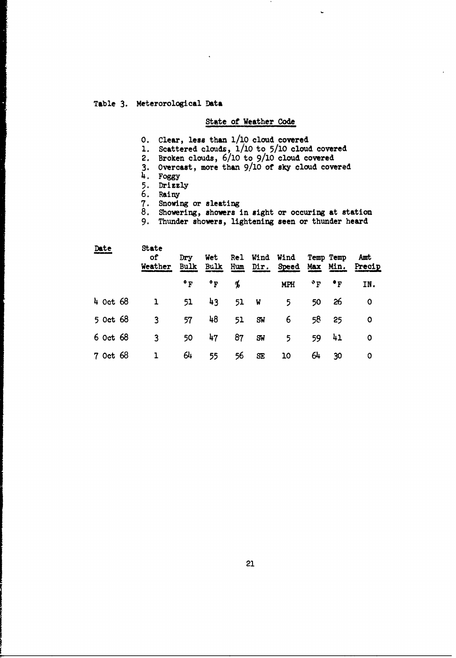## Table **3.** Meterorological **Data**

# State of Weather Code

 $\ddot{\phantom{0}}$ 

- **0.** Clear, less than **1/10** cloud covered
- 1. Scattered clouds, 1/10 to 5/10 cloud covered
- 2. Broken clouds, 6/10 to 9/10 cloud covered
- 3. Overcast, more than 9/10 of sky cloud covered
- **4. Foggy**
- **5.** Drizzly
- **6.** Rainy
- 7. Snowing or sleating
- 8. Showering, showers in sight or occuring at station
- 9. Thunder showers, lightening seen or thunder heard

| Date         | State<br>οf<br>Weather | Dry<br><b>Bulk</b> | Wet<br>Bulk  | Rel<br>Hum | Wind<br>Dir. | Wind<br>Speed | Max          | Temp Temp<br>Min.      | Amt<br>Precip |
|--------------|------------------------|--------------------|--------------|------------|--------------|---------------|--------------|------------------------|---------------|
|              |                        | $\mathbf{P}$       | $\mathbf{P}$ | Ъ          |              | <b>MPH</b>    | $^{\circ}$ F | $\bullet$ <sub>F</sub> | IN.           |
| $4$ Oct 68   | 1                      | 51                 | 43           | 51         | - W          | 5             | 50           | 26                     | 0             |
| 5 Oct 68     | 3                      | 57                 | 48           | 51         | SW           | 6             | 58 I         | 25                     | O             |
| 6 Oct 68     | 3                      | 50                 | 47           | 87         | <b>SW</b>    | 5             | 59           | 41                     | 0             |
| $7$ Oct $68$ | 1                      | 64                 | 55           | 56         | SE           | 10            | 64           | 30                     | O             |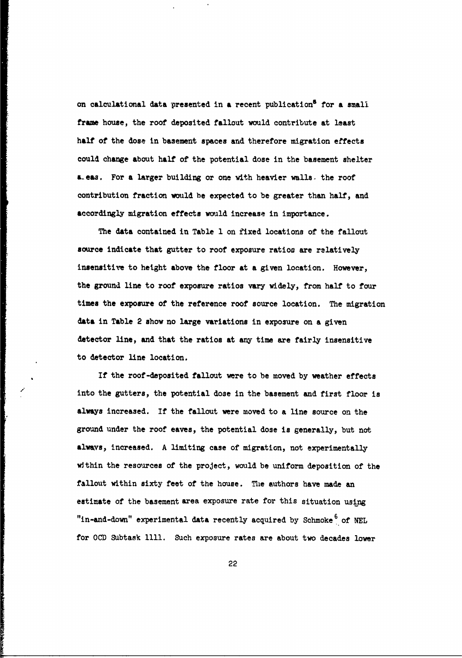on calculational data presented in **a** recent publication5 for a small **frame** house, the roof deposited fallout would contribute at least **half** of the dose in basement spaces and therefore migration effects could change about **half** of the potential dose in the basement shelter **a.eas.** For a larger building or one with heavier walls. the roof contribution fraction would be expected to be greater than half, and accordingly migration effects would increase in importance.

The data contained in Table **1** on fixed locations of the fallout source indicate that gutter to roof exposure ratios are relatively insensitive to height above the floor at a given location. However, the ground line to roof exposure ratios vary widely, from half to four times the exposure of the reference roof source location. The migration data in Table 2 show no large variations in exposure on a given detector line, and that the ratios at **any** time are fairly insensitive to detector line location.

If the roof-deposited fallout were to be moved by weather effects into the gutters, the potential dose in the basement and first floor is always increased. If the fallout were moved to a line source on the ground under the roof eaves, the potential dose is generally, but not **always,** increased. A limiting case of migration, not experimentally within the resources of the project, would be uniform deposition of the fallout within sixty feet of the house. The authors have made an estimate of the basement area exposure rate for this situation using "in-and-down" experimental data recently acquired by Schmoke<sup>6</sup> of NEL for **OCD** Subtask **1111.** Such exposure rates are about two decades lower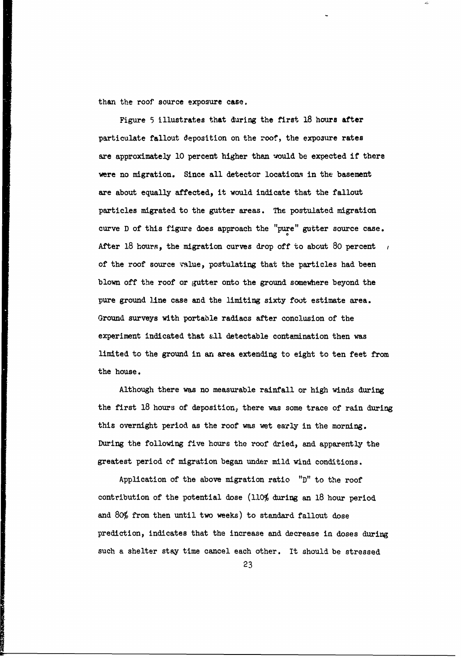than the roof source exposure case.

Figure 5 illustrates that during the first **18** hours after particulate fallout deposition on the roof, the exposure rates are approximately 10 percent higher than would be expected if there were no migration. Since all detector locations in the basement are about equally affected, it would indicate that the fallout particles migrated to the gutter areas. The postulated migration curve D of this figure does approach the "pure" gutter source case. After 18 hours, the migration curves drop off to about 80 percent  $\overline{1}$ of the roof source value, postulating that the particles had been blown off the roof or gutter onto the ground somewhere beyond the pure ground line case and the limiting sixty foot estimate area. Ground surveys with portable radiacs after conclusion of the experiment indicated that **.ll** detectable contamination then was limited to the ground in an area extending to eight to ten feet from the house.

Although there was no measurable rainfall or high winds during the first **18** hours of deposition, there was some trace of rain during this overnight period as the roof was wet early in the morning. During the following five hours the roof dried, and apparently the greatest period **of** migration began under mild wind conditions.

Application of the above migration ratio "D" to the roof contribution of the potential dose (110% during an **18** hour period and **80%** from then until two weeks) to standard fallout dose prediction, indicates that the increase and decrease in doses during such a shelter stay time cancel each other. It should be stressed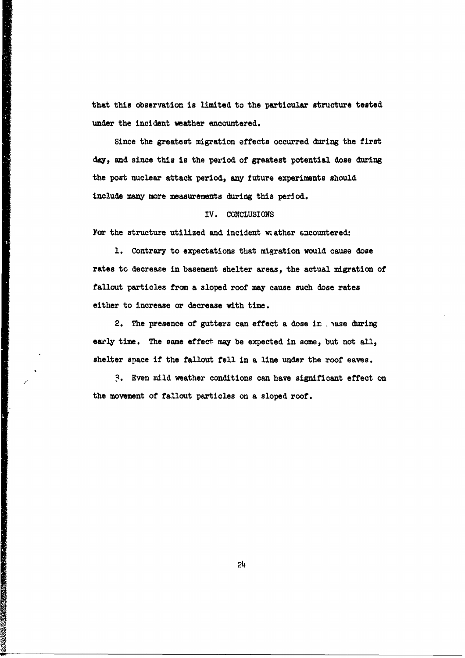that this observation is limited to the particular structure tested under the incident weather encountered.

 $\cdot$ 

Since the greatest migration effects occurred during the first **day,** and since this is the period of greatest potential dose during the post nuclear attack period, any future experiments should include many more measurements during this period.

#### IV. CONCLUSIONS

For the structure utilized and incident wather encountered:

**1.** Contrary to expectations that miqration would cause dose rates to decrease in basement shelter areas, the actual migration of fallout particles from a sloped roof may cause such dose rates either to increase or decrease with time.

2. The presence of gutters can effect a dose in . wase during early time. The same effect may be expected in some, but not all, shelter space if the fallout fell in a line under the roof eaves.

**..** Even mild weather conditions can have significant effect on the movement of fallout particles on a sloped roof.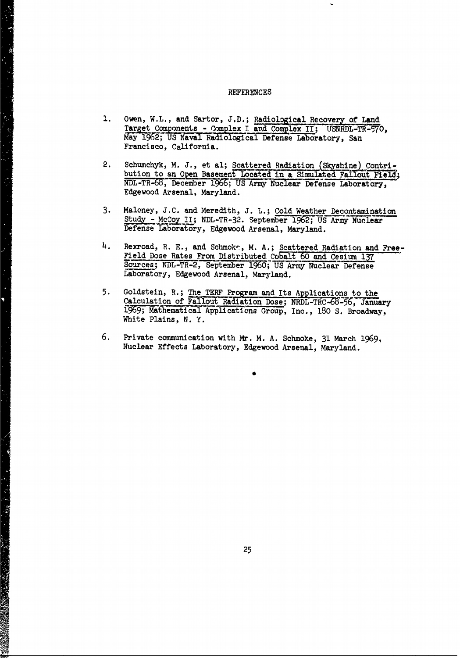#### **REFERENCES**

¢

- 1. Owen, W.L., and Sartor, J.D.; Radiological Recovery of Land Target Components - Complex I and Complex II; USNRDL-TR-57O, May 1962; US Naval Radiological Defense Laboratory, San Francisco, California.
- 2. Schumchyk, M. J., et al; Scattered Radiation (Skyshine) Contribution to an Open Basement Located in a Simulated Fallout Field; NDL-TR-68, December 1966; US Army Nuclear Defense Laboratory, Edgewood Arsenal, Maryland.
- 3. Maloney, J.C. and Meredith, J. L.; Cold Weather Decontamination Study - McCoy II; NDL-TR-32. September 1962; US Army Nuclear Defense Laboratory, Edgewood Arsenal, Maryland.
- 4. Rexroad, R. E., and Schmoke, M. A.; Seattered Radiation and Free-Field Dose Rates From Distributed Cobalt 60 and Cesium **Ir** Sources; NDL-TR-2, September **1960;** US Army Nuclear Defense Laboratory, Edgewood Arsenal, Maryland.
- 5. Goldstein, R.; The TERF Program and Its Applications to the Calculation of Fallout Radiation Dose; NRDL-TRC-68-56, January ;lMathematical Applications Group, Inc., 180 **S.** Broadway, White Plains, N. Y.
- 6. Private communication with Mr. M. A. Schmoke, 31 March 1969, Nuclear Effects Laboratory, Edgewood Arsenal, Maryland.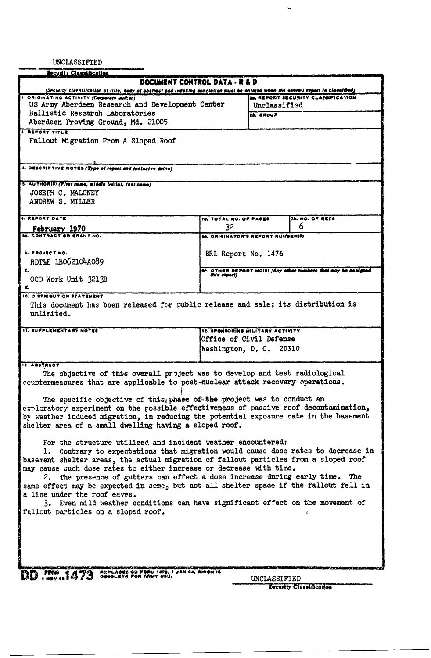UNCLASSIFIED

| Security Classification                                                                                                                                                                                       |                                          |              |                                                                 |
|---------------------------------------------------------------------------------------------------------------------------------------------------------------------------------------------------------------|------------------------------------------|--------------|-----------------------------------------------------------------|
| DOCUMENT CONTROL DATA - R & D                                                                                                                                                                                 |                                          |              |                                                                 |
| (Security cleanilisation of title, budy of abstract and indexing ennotation must be entered when the overall report to close(fied)<br>I ORIGINATING ACTIVITY (Corporate author)                               |                                          |              | <b>30. REPORT SZCURITY CLASSFICATION</b>                        |
| US Army Aberdeen Research and Development Center                                                                                                                                                              |                                          | Unclassified |                                                                 |
| Ballistic Research Laboratories                                                                                                                                                                               |                                          | 2b. SROUP    |                                                                 |
| Aberdeen Proving Ground, Md. 21005                                                                                                                                                                            |                                          |              |                                                                 |
| <b>3 REPORT TITLE</b>                                                                                                                                                                                         |                                          |              |                                                                 |
| Fallout Migration From A Sloped Roof                                                                                                                                                                          |                                          |              |                                                                 |
|                                                                                                                                                                                                               |                                          |              |                                                                 |
|                                                                                                                                                                                                               |                                          |              |                                                                 |
| 4. DESCRIPTIVE NOTES (Type of report and inclusive detas)                                                                                                                                                     |                                          |              |                                                                 |
| t. AUTHORIS) (First neme, middle initial, last neme)                                                                                                                                                          |                                          |              |                                                                 |
| JOSEPH C. MALONEY                                                                                                                                                                                             |                                          |              |                                                                 |
| ANDREW S. MILLER                                                                                                                                                                                              |                                          |              |                                                                 |
|                                                                                                                                                                                                               |                                          |              |                                                                 |
| <b>6. REPORT DATE</b>                                                                                                                                                                                         | 78. TOTAL NO. OF PASES                   |              | 75. NO. OF REFS                                                 |
| February 1970<br><b>M. CONTRACT OR SRAWT NO.</b>                                                                                                                                                              | 32                                       |              | 6                                                               |
|                                                                                                                                                                                                               | <b>SA. ORIGINATOR'S REPORT NUMBER(S)</b> |              |                                                                 |
| <b>S. PROJECT NO.</b>                                                                                                                                                                                         | BRL Report No. 1476                      |              |                                                                 |
| RDT&E 1BO62104A089                                                                                                                                                                                            |                                          |              |                                                                 |
| c.                                                                                                                                                                                                            | this report)                             |              | 9h, OTHER REPORT NOIS) (Any other numbers that may be neeligned |
| OCD Work Unit 3213B                                                                                                                                                                                           |                                          |              |                                                                 |
|                                                                                                                                                                                                               |                                          |              |                                                                 |
| 10. DISTRIBUTION STATEMENT                                                                                                                                                                                    |                                          |              |                                                                 |
| This document has been released for public release and sale; its distribution is<br>unlimited.                                                                                                                |                                          |              |                                                                 |
|                                                                                                                                                                                                               |                                          |              |                                                                 |
| <b>IT. SUPPLEMENTARY NOTES</b>                                                                                                                                                                                | 12. SPONSORING MILITARY ACTIVITY         |              |                                                                 |
|                                                                                                                                                                                                               | Office of Civil Defense                  |              |                                                                 |
|                                                                                                                                                                                                               | Washington, D. C. 20310                  |              |                                                                 |
|                                                                                                                                                                                                               |                                          |              |                                                                 |
| <b>IS ABSTRACT</b><br>The objective of this overall project was to develop and test radiological                                                                                                              |                                          |              |                                                                 |
| countermeasures that are applicable to post-nuclear attack recovery operations.                                                                                                                               |                                          |              |                                                                 |
|                                                                                                                                                                                                               |                                          |              |                                                                 |
| The specific objective of this, phase of-the project was to conduct an                                                                                                                                        |                                          |              |                                                                 |
| exploratory experiment on the rossible effectiveness of passive roof decontamination,                                                                                                                         |                                          |              |                                                                 |
| by weather induced migration, in reducing the potential exposure rate in the basement                                                                                                                         |                                          |              |                                                                 |
| shelter area of a small dwelling having a sloped roof.                                                                                                                                                        |                                          |              |                                                                 |
|                                                                                                                                                                                                               |                                          |              |                                                                 |
| For the structure utilized and incident weather encountered:<br>1. Contrary to expectations that migration would cause dose rates to decrease in                                                              |                                          |              |                                                                 |
| basement shelter areas, the actual migration of fallout particles from a sloped roof                                                                                                                          |                                          |              |                                                                 |
| may cause such dose rates to either increase or decrease with time.                                                                                                                                           |                                          |              |                                                                 |
| 2. The presence of gutters can effect a dose increase during early time. The                                                                                                                                  |                                          |              |                                                                 |
| same effect may be expected in some, but not all shelter space if the fallout fell in                                                                                                                         |                                          |              |                                                                 |
| a line under the roof eaves.                                                                                                                                                                                  |                                          |              |                                                                 |
| 3. Even mild weather conditions can have significant effect on the movement of                                                                                                                                |                                          |              |                                                                 |
| fallout particles on a sloped roof.                                                                                                                                                                           |                                          |              |                                                                 |
|                                                                                                                                                                                                               |                                          |              |                                                                 |
|                                                                                                                                                                                                               |                                          |              |                                                                 |
|                                                                                                                                                                                                               |                                          |              |                                                                 |
|                                                                                                                                                                                                               |                                          |              |                                                                 |
|                                                                                                                                                                                                               |                                          |              |                                                                 |
| the property of the control of the control of the control of the control of the control of<br>araw matang<br>NAPLACES DO FORM 1472, 1 JAN 44, WHICH IS<br>OBEOLEYS FOR ARMY USS.<br>$T_{\text{2}}^{rms}$ 1473 |                                          |              |                                                                 |
|                                                                                                                                                                                                               |                                          | UNCLASSIFIED |                                                                 |
|                                                                                                                                                                                                               |                                          |              | Locurity Classification                                         |

 $\ddot{\phantom{0}}$